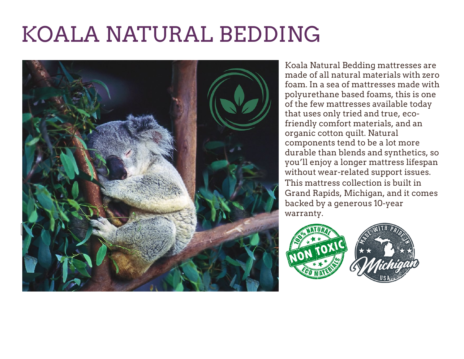# KOALA NATURAL BEDDING



Koala Natural Bedding mattresses are made of all natural materials with zero foam. In a sea of mattresses made with polyurethane based foams, this is one of the few mattresses available today that uses only tried and true, ecofriendly comfort materials, and an organic cotton quilt. Natural components tend to be a lot more durable than blends and synthetics, so you'll enjoy a longer mattress lifespan without wear-related support issues. This mattress collection is built in Grand Rapids, Michigan, and it comes backed by a generous 10-year warranty.

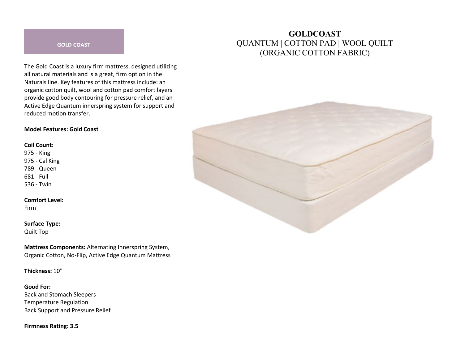#### **GOLD COAST**

The Gold Coast is a luxury firm mattress, designed utilizing all natural materials and is a great, firm option in the Naturals line. Key features of this mattress include: an organic cotton quilt, wool and cotton pad comfort layers provide good body contouring for pressure relief, and an Active Edge Quantum innerspring system for support and reduced motion transfer.

#### **Model Features: Gold Coast**

#### **Coil Count:**

975 - King 975 - Cal King 789 - Queen 681 - Full 536 - Twin

#### **Comfort Level:**

Firm

#### **Surface Type:**

Quilt Top

**Mattress Components:** Alternating Innerspring System, Organic Cotton, No-Flip, Active Edge Quantum Mattress

**Thickness:** 10"

**Good For:** Back and Stomach Sleepers Temperature Regulation Back Support and Pressure Relief

**Firmness Rating: 3.5**

# **GOLDCOAST** QUANTUM | COTTON PAD | WOOL QUILT (ORGANIC COTTON FABRIC)

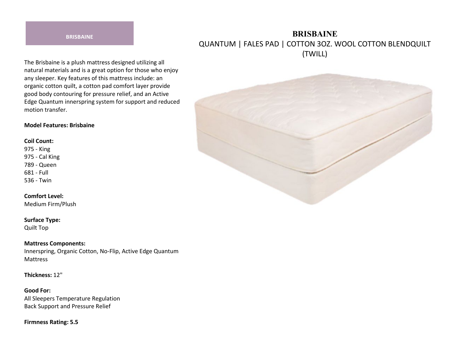#### **BRISBAINE**

# **BRISBAINE** QUANTUM | FALES PAD | COTTON 3OZ. WOOL COTTON BLENDQUILT (TWILL)

The Brisbaine is a plush mattress designed utilizing all natural materials and is a great option for those who enjoy any sleeper. Key features of this mattress include: an organic cotton quilt, a cotton pad comfort layer provide good body contouring for pressure relief, and an Active Edge Quantum innerspring system for support and reduced motion transfer.

#### **Model Features: Brisbaine**

#### **Coil Count:**

975 - King 975 - Cal King 789 - Queen 681 - Full 536 - Twin

### **Comfort Level:**

Medium Firm/Plush

#### **Surface Type:**

Quilt Top

#### **Mattress Components:**

Innerspring, Organic Cotton, No-Flip, Active Edge Quantum Mattress

**Thickness:** 12"

**Good For:** All Sleepers Temperature Regulation Back Support and Pressure Relief

**Firmness Rating: 5.5**